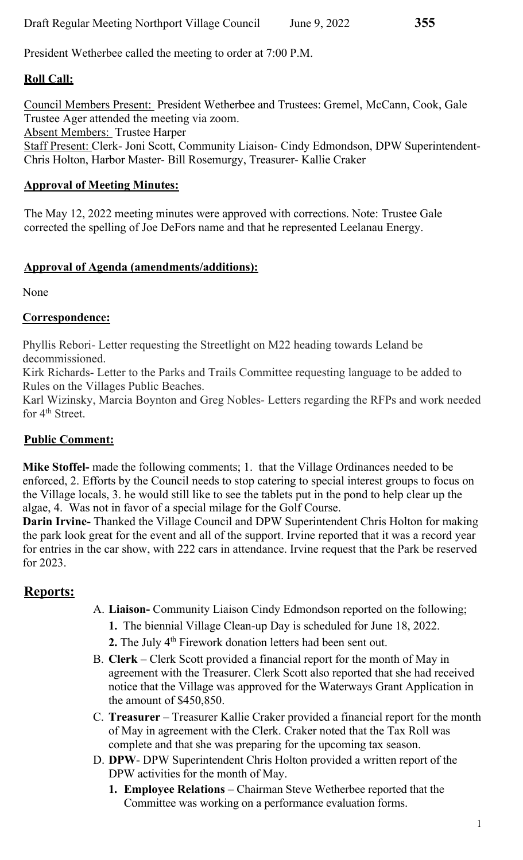President Wetherbee called the meeting to order at 7:00 P.M.

# **Roll Call:**

Council Members Present: President Wetherbee and Trustees: Gremel, McCann, Cook, Gale Trustee Ager attended the meeting via zoom. Absent Members: Trustee Harper Staff Present: Clerk- Joni Scott, Community Liaison- Cindy Edmondson, DPW Superintendent-Chris Holton, Harbor Master- Bill Rosemurgy, Treasurer- Kallie Craker

#### **Approval of Meeting Minutes:**

The May 12, 2022 meeting minutes were approved with corrections. Note: Trustee Gale corrected the spelling of Joe DeFors name and that he represented Leelanau Energy.

#### **Approval of Agenda (amendments/additions):**

None

#### **Correspondence:**

Phyllis Rebori- Letter requesting the Streetlight on M22 heading towards Leland be decommissioned.

Kirk Richards- Letter to the Parks and Trails Committee requesting language to be added to Rules on the Villages Public Beaches.

Karl Wizinsky, Marcia Boynton and Greg Nobles- Letters regarding the RFPs and work needed for 4<sup>th</sup> Street.

#### **Public Comment:**

**Mike Stoffel-** made the following comments; 1. that the Village Ordinances needed to be enforced, 2. Efforts by the Council needs to stop catering to special interest groups to focus on the Village locals, 3. he would still like to see the tablets put in the pond to help clear up the algae, 4. Was not in favor of a special milage for the Golf Course.

**Darin Irvine-** Thanked the Village Council and DPW Superintendent Chris Holton for making the park look great for the event and all of the support. Irvine reported that it was a record year for entries in the car show, with 222 cars in attendance. Irvine request that the Park be reserved for 2023.

## **Reports:**

- A. **Liaison-** Community Liaison Cindy Edmondson reported on the following;
	- **1.** The biennial Village Clean-up Day is scheduled for June 18, 2022.
	- **2.** The July 4<sup>th</sup> Firework donation letters had been sent out.
- B. **Clerk**  Clerk Scott provided a financial report for the month of May in agreement with the Treasurer. Clerk Scott also reported that she had received notice that the Village was approved for the Waterways Grant Application in the amount of \$450,850.
- C. **Treasurer**  Treasurer Kallie Craker provided a financial report for the month of May in agreement with the Clerk. Craker noted that the Tax Roll was complete and that she was preparing for the upcoming tax season.
- D. **DPW** DPW Superintendent Chris Holton provided a written report of the DPW activities for the month of May.
	- **1. Employee Relations**  Chairman Steve Wetherbee reported that the Committee was working on a performance evaluation forms.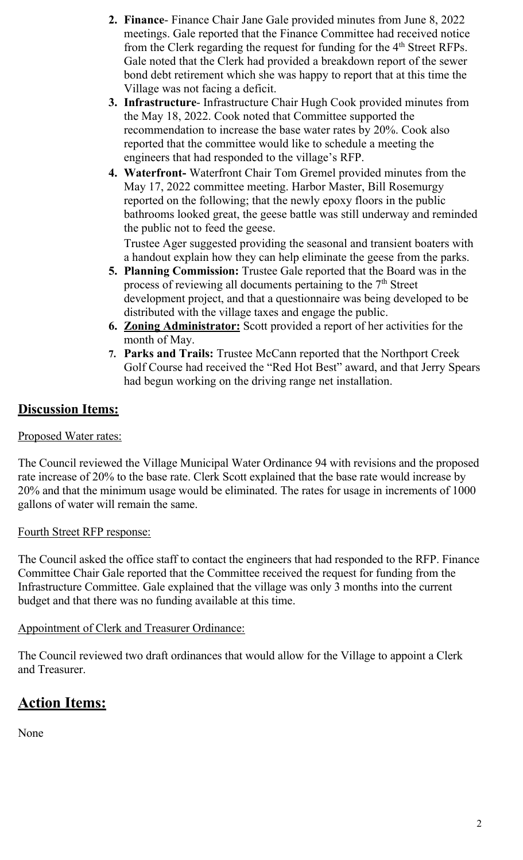- **2. Finance** Finance Chair Jane Gale provided minutes from June 8, 2022 meetings. Gale reported that the Finance Committee had received notice from the Clerk regarding the request for funding for the 4<sup>th</sup> Street RFPs. Gale noted that the Clerk had provided a breakdown report of the sewer bond debt retirement which she was happy to report that at this time the Village was not facing a deficit.
- **3. Infrastructure** Infrastructure Chair Hugh Cook provided minutes from the May 18, 2022. Cook noted that Committee supported the recommendation to increase the base water rates by 20%. Cook also reported that the committee would like to schedule a meeting the engineers that had responded to the village's RFP.
- **4. Waterfront-** Waterfront Chair Tom Gremel provided minutes from the May 17, 2022 committee meeting. Harbor Master, Bill Rosemurgy reported on the following; that the newly epoxy floors in the public bathrooms looked great, the geese battle was still underway and reminded the public not to feed the geese.

Trustee Ager suggested providing the seasonal and transient boaters with a handout explain how they can help eliminate the geese from the parks.

- **5. Planning Commission:** Trustee Gale reported that the Board was in the process of reviewing all documents pertaining to the  $7<sup>th</sup>$  Street development project, and that a questionnaire was being developed to be distributed with the village taxes and engage the public.
- **6. Zoning Administrator:** Scott provided a report of her activities for the month of May.
- **7. Parks and Trails:** Trustee McCann reported that the Northport Creek Golf Course had received the "Red Hot Best" award, and that Jerry Spears had begun working on the driving range net installation.

# **Discussion Items:**

#### Proposed Water rates:

The Council reviewed the Village Municipal Water Ordinance 94 with revisions and the proposed rate increase of 20% to the base rate. Clerk Scott explained that the base rate would increase by 20% and that the minimum usage would be eliminated. The rates for usage in increments of 1000 gallons of water will remain the same.

#### Fourth Street RFP response:

The Council asked the office staff to contact the engineers that had responded to the RFP. Finance Committee Chair Gale reported that the Committee received the request for funding from the Infrastructure Committee. Gale explained that the village was only 3 months into the current budget and that there was no funding available at this time.

Appointment of Clerk and Treasurer Ordinance:

The Council reviewed two draft ordinances that would allow for the Village to appoint a Clerk and Treasurer.

# **Action Items:**

None